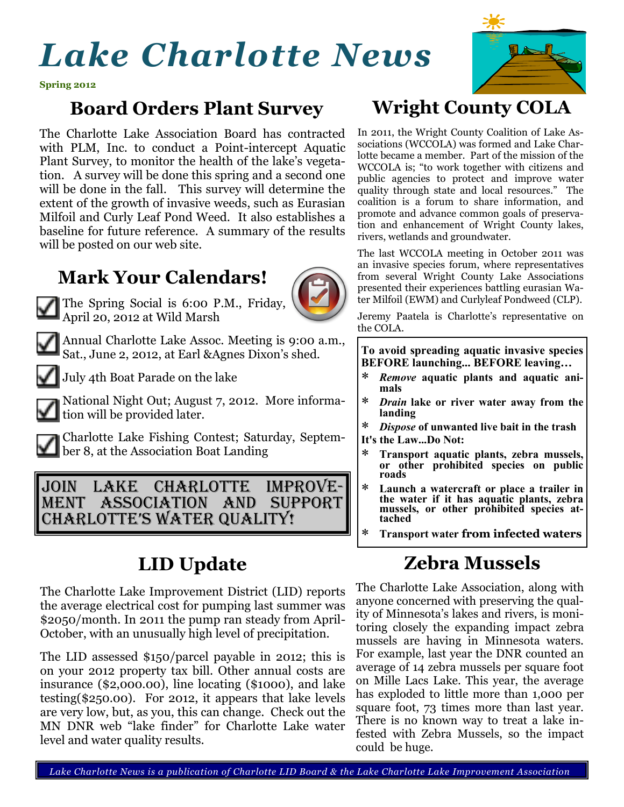# *Lake Charlotte News*



**Spring 2012**

### **Board Orders Plant Survey**

The Charlotte Lake Association Board has contracted with PLM, Inc. to conduct a Point-intercept Aquatic Plant Survey, to monitor the health of the lake's vegetation. A survey will be done this spring and a second one will be done in the fall. This survey will determine the extent of the growth of invasive weeds, such as Eurasian Milfoil and Curly Leaf Pond Weed. It also establishes a baseline for future reference. A summary of the results will be posted on our web site.

#### **Mark Your Calendars!**



The Spring Social is 6:00 P.M., Friday, April 20, 2012 at Wild Marsh



Annual Charlotte Lake Assoc. Meeting is 9:00 a.m., Sat., June 2, 2012, at Earl &Agnes Dixon's shed.



July 4th Boat Parade on the lake

National Night Out; August 7, 2012. More information will be provided later.

Charlotte Lake Fishing Contest; Saturday, Septem**ber 8, at the Association Boat Landing** 

Join Lake Charlotte Improvement Association And Support Charlotte's Water Quality!

# **LID Update**

The Charlotte Lake Improvement District (LID) reports the average electrical cost for pumping last summer was \$2050/month. In 2011 the pump ran steady from April-October, with an unusually high level of precipitation.

The LID assessed \$150/parcel payable in 2012; this is on your 2012 property tax bill. Other annual costs are insurance (\$2,000.00), line locating (\$1000), and lake testing(\$250.00). For 2012, it appears that lake levels are very low, but, as you, this can change. Check out the MN DNR web "lake finder" for Charlotte Lake water level and water quality results.

## **Wright County COLA**

In 2011, the Wright County Coalition of Lake Associations (WCCOLA) was formed and Lake Charlotte became a member. Part of the mission of the WCCOLA is; "to work together with citizens and public agencies to protect and improve water quality through state and local resources." The coalition is a forum to share information, and promote and advance common goals of preservation and enhancement of Wright County lakes, rivers, wetlands and groundwater.

The last WCCOLA meeting in October 2011 was an invasive species forum, where representatives from several Wright County Lake Associations presented their experiences battling eurasian Water Milfoil (EWM) and Curlyleaf Pondweed (CLP).

Jeremy Paatela is Charlotte's representative on the COLA.

**To avoid spreading aquatic invasive species BEFORE launching... BEFORE leaving…**

- *Remove* **aquatic plants and aquatic animals**
- *Drain* **lake or river water away from the landing**
- *Dispose* **of unwanted live bait in the trash It's the Law...Do Not:**
- **Transport aquatic plants, zebra mussels, or other prohibited species on public roads**
- **Launch a watercraft or place a trailer in the water if it has aquatic plants, zebra mussels, or other prohibited species attached**
- **Transport water from infected waters**

## **Zebra Mussels**

The Charlotte Lake Association, along with anyone concerned with preserving the quality of Minnesota's lakes and rivers, is monitoring closely the expanding impact zebra mussels are having in Minnesota waters. For example, last year the DNR counted an average of 14 zebra mussels per square foot on Mille Lacs Lake. This year, the average has exploded to little more than 1,000 per square foot, 73 times more than last year. There is no known way to treat a lake infested with Zebra Mussels, so the impact could be huge.

 *Lake Charlotte News is a publication of Charlotte LID Board & the Lake Charlotte Lake Improvement Association*